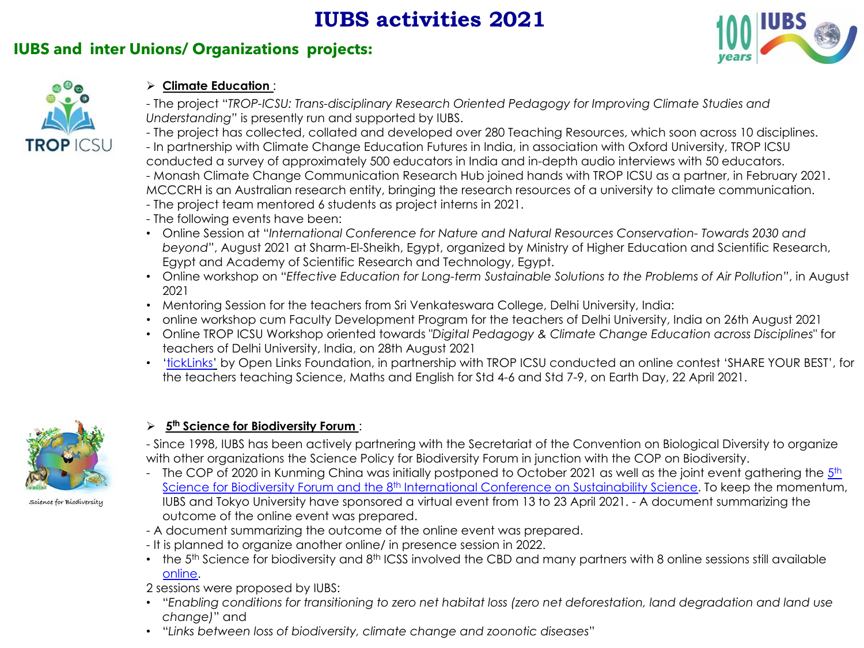# **IUBS activities 2021**

## **IUBS and inter Unions/ Organizations projects:**





### ! **Climate Education** :

- The project "*TROP-ICSU: Trans-disciplinary Research Oriented Pedagogy for Improving Climate Studies and Understanding"* is presently run and supported by IUBS.
- The project has collected, collated and developed over 280 Teaching Resources, which soon across 10 disciplines.
- In partnership with Climate Change Education Futures in India, in association with Oxford University, TROP ICSU conducted a survey of approximately 500 educators in India and in-depth audio interviews with 50 educators. - Monash Climate Change Communication Research Hub joined hands with TROP ICSU as a partner, in February 2021.
- MCCCRH is an Australian research entity, bringing the research resources of a university to climate communication.
- The project team mentored 6 students as project interns in 2021.
- The following events have been:
- Online Session at "*International Conference for Nature and Natural Resources Conservation- Towards 2030 and beyond*", August 2021 at Sharm-El-Sheikh, Egypt, organized by Ministry of Higher Education and Scientific Research, Egypt and Academy of Scientific Research and Technology, Egypt.
- Online workshop on "*Effective Education for Long-term Sustainable Solutions to the Problems of Air Pollution"*, in August 2021
- Mentoring Session for the teachers from Sri Venkateswara College, Delhi University, India:
- online workshop cum Faculty Development Program for the teachers of Delhi University, India on 26th August 2021
- Online TROP ICSU Workshop oriented towards "*Digital Pedagogy & Climate Change Education across Disciplines*" for teachers of Delhi University, India, on 28th August 2021
- '[tickLinks'](https://www.ticklinks.com/) by Open Links Foundation, in partnership with TROP ICSU conducted an online contest 'SHARE YOUR BEST', for the teachers teaching Science, Maths and English for Std 4-6 and Std 7-9, on Earth Day, 22 April 2021.



Science for Biodiversity

#### ! **5th Science for Biodiversity Forum** :

- Since 1998, IUBS has been actively partnering with the Secretariat of the Convention on Biological Diversity to organize with other organizations the Science Policy for Biodiversity Forum in junction with the COP on Biodiversity.

- The COP of 2020 in Kunming China was initially postponed to October 2021 as well as the joint event gathering the  $5<sup>th</sup>$ Science for Biodiversity Forum and the 8<sup>th</sup> International Conference on Sustainability Science. To keep the momentum, IUBS and Tokyo University have sponsored a virtual event from 13 to 23 April 2021. - A document summarizing the outcome of the online event was prepared.
- A document summarizing the outcome of the online event was prepared.
- It is planned to organize another online/ in presence session in 2022.
- $\cdot$  the 5<sup>th</sup> Science for biodiversity and 8<sup>th</sup> ICSS involved the CBD and many partners with 8 online sessions still available [online.](https://science4biodiversity.org/)
- 2 sessions were proposed by IUBS:
- "*Enabling conditions for transitioning to zero net habitat loss (zero net deforestation, land degradation and land use change)*" and
- "*Links between loss of biodiversity, climate change and zoonotic diseases*"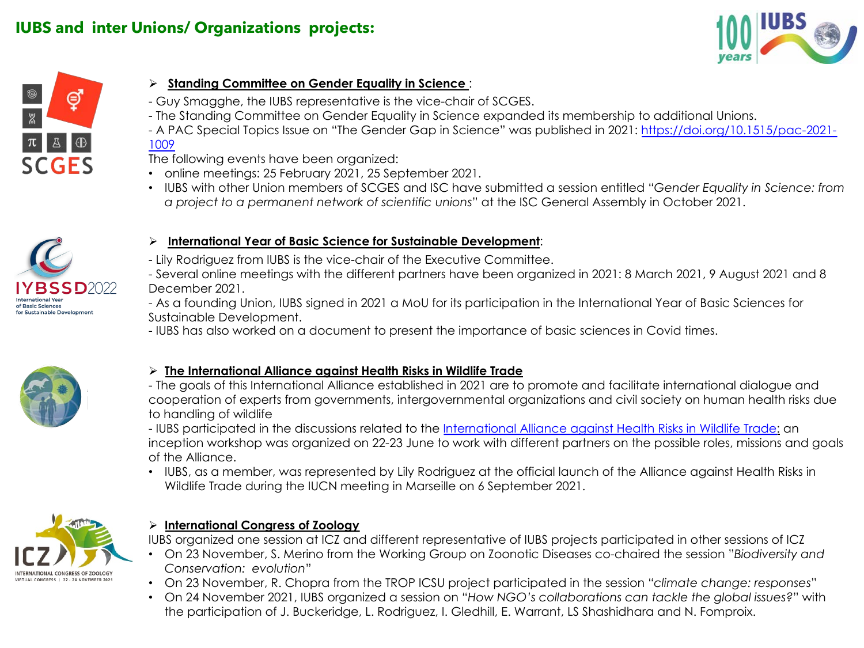



### ! **Standing Committee on Gender Equality in Science** :

- Guy Smagghe, the IUBS representative is the vice-chair of SCGES.
- The Standing Committee on Gender Equality in Science expanded its membership to additional Unions.
- [A PAC Special Topics Issue on "The Gender Gap in Science" was published in 2021: https://doi.org/10.1515/pac-2021-](https://doi.org/10.1515/pac-2021-1009) 1009

The following events have been organized:

- online meetings: 25 February 2021, 25 September 2021.
- IUBS with other Union members of SCGES and ISC have submitted a session entitled "*Gender Equality in Science: from a project to a permanent network of scientific unions*" at the ISC General Assembly in October 2021.



#### ! **International Year of Basic Science for Sustainable Development**:

- Lily Rodriguez from IUBS is the vice-chair of the Executive Committee.

- Several online meetings with the different partners have been organized in 2021: 8 March 2021, 9 August 2021 and 8 December 2021.

- As a founding Union, IUBS signed in 2021 a MoU for its participation in the International Year of Basic Sciences for Sustainable Development.

- IUBS has also worked on a document to present the importance of basic sciences in Covid times.



### ! **The International Alliance against Health Risks in Wildlife Trade**

- The goals of this International Alliance established in 2021 are to promote and facilitate international dialogue and cooperation of experts from governments, intergovernmental organizations and civil society on human health risks due to handling of wildlife

- IUBS participated in the discussions related to the [International Alliance against Health Risks in Wildlife Trade:](https://alliance-health-wildlife.org/) an inception workshop was organized on 22-23 June to work with different partners on the possible roles, missions and goals of the Alliance.

• IUBS, as a member, was represented by Lily Rodriguez at the official launch of the Alliance against Health Risks in Wildlife Trade during the IUCN meeting in Marseille on 6 September 2021.



### ! **International Congress of Zoology**

IUBS organized one session at ICZ and different representative of IUBS projects participated in other sessions of ICZ

- On 23 November, S. Merino from the Working Group on Zoonotic Diseases co-chaired the session "*Biodiversity and Conservation: evolution*"
- On 23 November, R. Chopra from the TROP ICSU project participated in the session "*climate change: responses*"
- On 24 November 2021, IUBS organized a session on "*How NGO's collaborations can tackle the global issues?*" with the participation of J. Buckeridge, L. Rodriguez, I. Gledhill, E. Warrant, LS Shashidhara and N. Fomproix.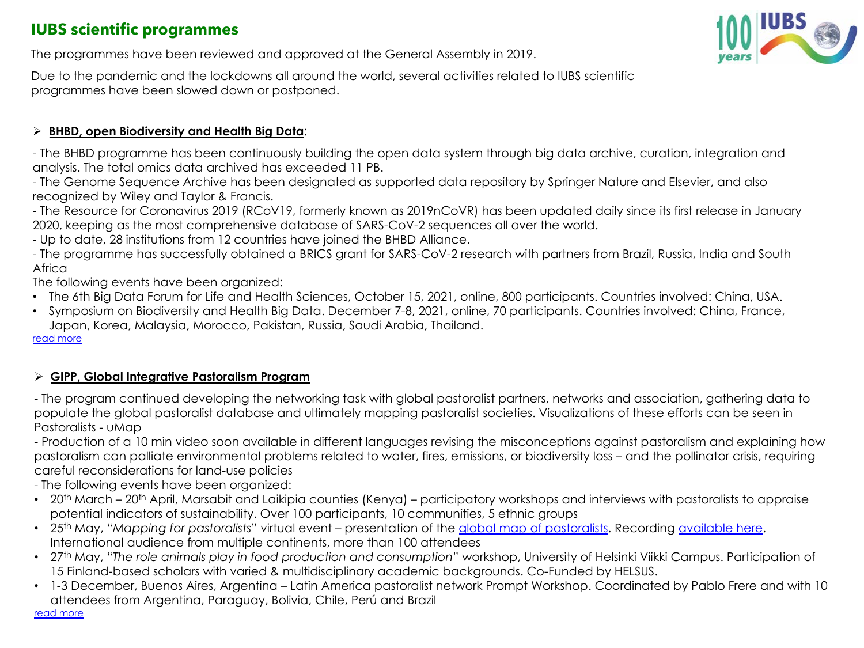## **IUBS scientific programmes**

The programmes have been reviewed and approved at the General Assembly in 2019.

Due to the pandemic and the lockdowns all around the world, several activities related to IUBS scientific programmes have been slowed down or postponed.

### ! **BHBD, open Biodiversity and Health Big Data**:

- The BHBD programme has been continuously building the open data system through big data archive, curation, integration and analysis. The total omics data archived has exceeded 11 PB.

- The Genome Sequence Archive has been designated as supported data repository by Springer Nature and Elsevier, and also recognized by Wiley and Taylor & Francis.

- The Resource for Coronavirus 2019 (RCoV19, formerly known as 2019nCoVR) has been updated daily since its first release in January 2020, keeping as the most comprehensive database of SARS-CoV-2 sequences all over the world.

- Up to date, 28 institutions from 12 countries have joined the BHBD Alliance.

- The programme has successfully obtained a BRICS grant for SARS-CoV-2 research with partners from Brazil, Russia, India and South Africa

The following events have been organized:

- The 6th Big Data Forum for Life and Health Sciences, October 15, 2021, online, 800 participants. Countries involved: China, USA.
- Symposium on Biodiversity and Health Big Data. December 7-8, 2021, online, 70 participants. Countries involved: China, France, Japan, Korea, Malaysia, Morocco, Pakistan, Russia, Saudi Arabia, Thailand.

#### [read more](http://www.iubs.org/iubs-activities/scientific-programmes/bhbd-open-biodiversity-and-health-big-data-initiative.html)

### ! **GIPP, Global Integrative Pastoralism Program**

- The program continued developing the networking task with global pastoralist partners, networks and association, gathering data to populate the global pastoralist database and ultimately mapping pastoralist societies. Visualizations of these efforts can be seen in Pastoralists - uMap

- Production of a 10 min video soon available in different languages revising the misconceptions against pastoralism and explaining how pastoralism can palliate environmental problems related to water, fires, emissions, or biodiversity loss – and the pollinator crisis, requiring careful reconsiderations for land-use policies

- The following events have been organized:

- 20<sup>th</sup> March 20<sup>th</sup> April, Marsabit and Laikipia counties (Kenya) participatory workshops and interviews with pastoralists to appraise potential indicators of sustainability. Over 100 participants, 10 communities, 5 ethnic groups
- 25th May, "*Mapping for pastoralists*" virtual event presentation of the [global map of pastoralists.](http://www.pastoralpeoples.org/mapping-for-pastoralists-on-line-seminar-on-25-may-1400-cest/) Recording [available here.](https://www.youtube.com/watch?v=nuKiBtxeTkA) International audience from multiple continents, more than 100 attendees
- 27th May, "*The role animals play in food production and consumption*" workshop, University of Helsinki Viikki Campus. Participation of 15 Finland-based scholars with varied & multidisciplinary academic backgrounds. Co-Funded by HELSUS.
- 1-3 December, Buenos Aires, Argentina Latin America pastoralist network Prompt Workshop. Coordinated by Pablo Frere and with 10 attendees from Argentina, Paraguay, Bolivia, Chile, Perú and Brazil

[read more](http://www.iubs.org/iubs-activities/scientific-programmes/global-integrative-pastoralism-project-gipp.html)

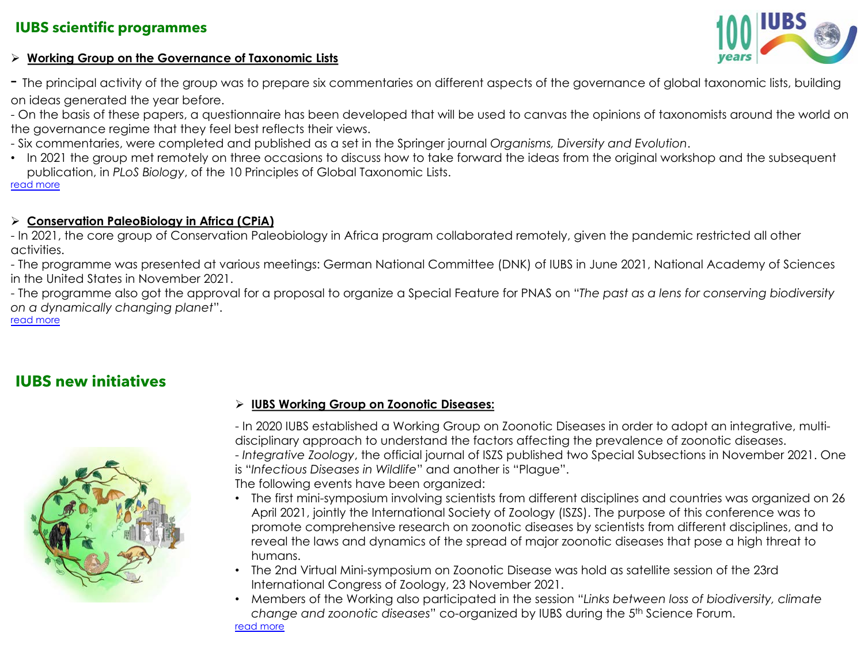### **IUBS scientific programmes**

### ! **Working Group on the Governance of Taxonomic Lists**

- The principal activity of the group was to prepare six commentaries on different aspects of the governance of global taxonomic lists, building on ideas generated the year before.

- On the basis of these papers, a questionnaire has been developed that will be used to canvas the opinions of taxonomists around the world on the governance regime that they feel best reflects their views.

- Six commentaries, were completed and published as a set in the Springer journal *Organisms, Diversity and Evolution*.

• In 2021 the group met remotely on three occasions to discuss how to take forward the ideas from the original workshop and the subsequent publication, in *PLoS Biology*, of the 10 Principles of Global Taxonomic Lists. [read more](http://www.iubs.org/iubs-activities/scientific-programmes/governance-of-global-taxonomic-lists.html)

#### ! **Conservation PaleoBiology in Africa (CPiA)**

- In 2021, the core group of Conservation Paleobiology in Africa program collaborated remotely, given the pandemic restricted all other activities.

- The programme was presented at various meetings: German National Committee (DNK) of IUBS in June 2021, National Academy of Sciences in the United States in November 2021.

- The programme also got the approval for a proposal to organize a Special Feature for PNAS on "*The past as a lens for conserving biodiversity on a dynamically changing planet*". [read more](http://www.iubs.org/iubs-activities/scientific-programmes/conservation-of-paleobiology-in-africa-cpia.html)

## **IUBS new initiatives**



#### ! **IUBS Working Group on Zoonotic Diseases:**

- In 2020 IUBS established a Working Group on Zoonotic Diseases in order to adopt an integrative, multidisciplinary approach to understand the factors affecting the prevalence of zoonotic diseases. - *Integrative Zoology*, the official journal of ISZS published two Special Subsections in November 2021. One

is "*Infectious Diseases in Wildlife*" and another is "Plague". The following events have been organized:

- The first mini-symposium involving scientists from different disciplines and countries was organized on 26 April 2021, jointly the International Society of Zoology (ISZS). The purpose of this conference was to promote comprehensive research on zoonotic diseases by scientists from different disciplines, and to reveal the laws and dynamics of the spread of major zoonotic diseases that pose a high threat to humans.
- The 2nd Virtual Mini-symposium on Zoonotic Disease was hold as satellite session of the 23rd International Congress of Zoology, 23 November 2021.

• Members of the Working also participated in the session "*Links between loss of biodiversity, climate change and zoonotic diseases*" co-organized by IUBS during the 5th Science Forum. [read more](http://www.iubs.org/iubs-activities/new-initiatives/zoonotic-diseases.html)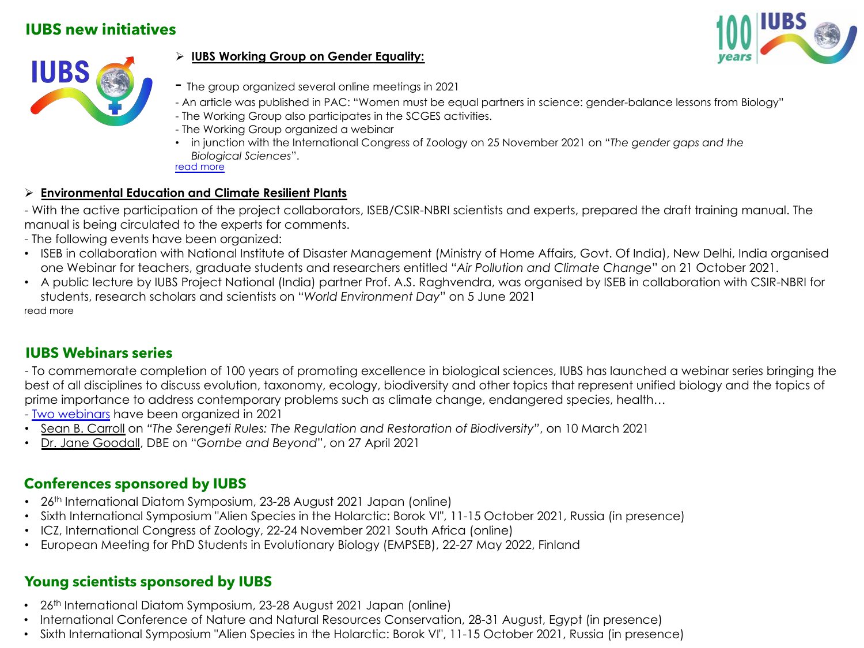## **IUBS new initiatives**





### ! **IUBS Working Group on Gender Equality:**

- The group organized several online meetings in 2021
- An article was published in PAC: "Women must be equal partners in science: gender-balance lessons from Biology"
- The Working Group also participates in the SCGES activities.
- The Working Group organized a webinar
- in junction with the International Congress of Zoology on 25 November 2021 on "*The gender gaps and the Biological Sciences*". [read more](http://www.iubs.org/iubs-activities/new-initiatives/gender-equality-in-science/iubs-working-group-on-gender-equality.html)

### ! **Environmental Education and Climate Resilient Plants**

- With the active participation of the project collaborators, ISEB/CSIR-NBRI scientists and experts, prepared the draft training manual. The manual is being circulated to the experts for comments.

- The following events have been organized:
- ISEB in collaboration with National Institute of Disaster Management (Ministry of Home Affairs, Govt. Of India), New Delhi, India organised one Webinar for teachers, graduate students and researchers entitled "*Air Pollution and Climate Change*" on 21 October 2021.
- A public lecture by IUBS Project National (India) partner Prof. A.S. Raghvendra, was organised by ISEB in collaboration with CSIR-NBRI for students, research scholars and scientists on "*World Environment Day*" on 5 June 2021 read more

### **IUBS Webinars series**

- To commemorate completion of 100 years of promoting excellence in biological sciences, IUBS has launched a webinar series bringing the best of all disciplines to discuss evolution, taxonomy, ecology, biodiversity and other topics that represent unified biology and the topics of prime importance to address contemporary problems such as climate change, endangered species, health…

- [Two webinars](http://www.iubs.org/events/supported-conferences-by-iubs/iubs-centenary-webinar-series.html) have been organized in 2021

- Sean B. Carroll on *"The Serengeti Rules: The Regulation and Restoration of Biodiversity"*, on 10 March 2021
- Dr. Jane Goodall, DBE on "*Gombe and Beyond*", on 27 April 2021

### **Conferences sponsored by IUBS**

- 26<sup>th</sup> International Diatom Symposium, 23-28 August 2021 Japan (online)
- Sixth International Symposium "Alien Species in the Holarctic: Borok VI", 11-15 October 2021, Russia (in presence)
- ICZ, International Congress of Zoology, 22-24 November 2021 South Africa (online)
- European Meeting for PhD Students in Evolutionary Biology (EMPSEB), 22-27 May 2022, Finland

## **Young scientists sponsored by IUBS**

- 26<sup>th</sup> International Diatom Symposium, 23-28 August 2021 Japan (online)
- International Conference of Nature and Natural Resources Conservation, 28-31 August, Egypt (in presence)
- Sixth International Symposium "Alien Species in the Holarctic: Borok VI", 11-15 October 2021, Russia (in presence)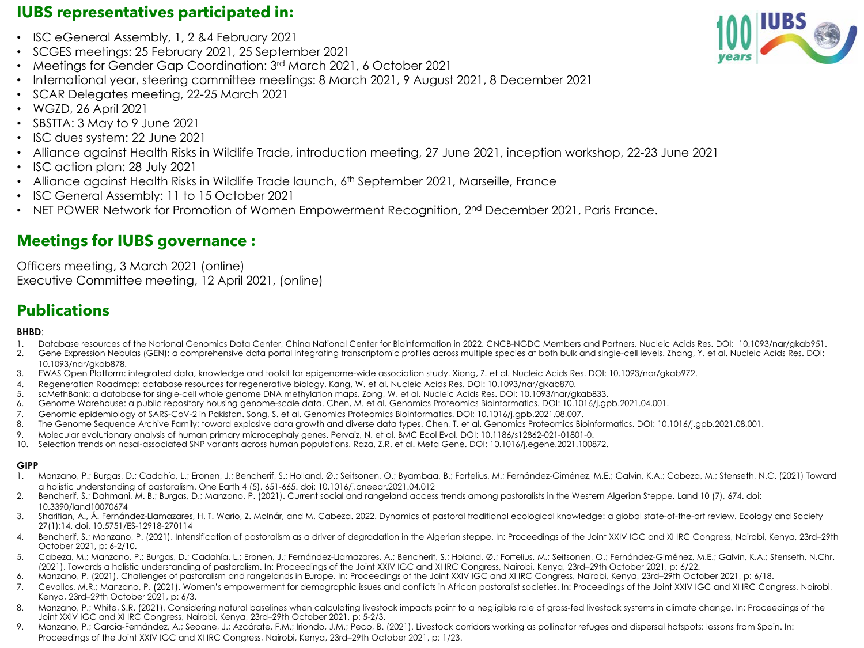## **IUBS representatives participated in:**

- ISC eGeneral Assembly, 1, 2 &4 February 2021
- SCGES meetings: 25 February 2021, 25 September 2021
- Meetings for Gender Gap Coordination: 3rd March 2021, 6 October 2021
- International year, steering committee meetings: 8 March 2021, 9 August 2021, 8 December 2021
- SCAR Delegates meeting, 22-25 March 2021
- WGZD, 26 April 2021
- SBSTTA: 3 May to 9 June 2021
- ISC dues system: 22 June 2021
- Alliance against Health Risks in Wildlife Trade, introduction meeting, 27 June 2021, inception workshop, 22-23 June 2021
- ISC action plan: 28 July 2021
- Alliance against Health Risks in Wildlife Trade launch, 6th September 2021, Marseille, France
- ISC General Assembly: 11 to 15 October 2021
- NET POWER Network for Promotion of Women Empowerment Recognition, 2<sup>nd</sup> December 2021, Paris France.

## **Meetings for IUBS governance :**

Officers meeting, 3 March 2021 (online) Executive Committee meeting, 12 April 2021, (online)

## **Publications**

#### **BHBD**:

- 1. Database resources of the National Genomics Data Center, China National Center for Bioinformation in 2022. CNCB-NGDC Members and Partners. Nucleic Acids Res. DOI: 10.1093/nar/gkab951.
- 2. Gene Expression Nebulas (GEN): a comprehensive data portal integrating transcriptomic profiles across multiple species at both bulk and single-cell levels. Zhang, Y. et al. Nucleic Acids Res. DOI: 10.1093/nar/gkab878.
- 3. EWAS Open Platform: integrated data, knowledge and toolkit for epigenome-wide association study. Xiong, Z. et al. Nucleic Acids Res. DOI: 10.1093/nar/gkab972.
- 4. Regeneration Roadmap: database resources for regenerative biology. Kang, W. et al. Nucleic Acids Res. DOI: 10.1093/nar/gkab870.
- 5. scMethBank: a database for single-cell whole genome DNA methylation maps. Zong, W. et al. Nucleic Acids Res. DOI: 10.1093/nar/gkab833.
- 6. Genome Warehouse: a public repository housing genome-scale data. Chen, M. et al. Genomics Proteomics Bioinformatics. DOI: 10.1016/j.gpb.2021.04.001.
- 7. Genomic epidemiology of SARS-CoV-2 in Pakistan. Song, S. et al. Genomics Proteomics Bioinformatics. DOI: 10.1016/j.gpb.2021.08.007.
- 8. The Genome Sequence Archive Family: toward explosive data growth and diverse data types. Chen, T. et al. Genomics Proteomics Bioinformatics. DOI: 10.1016/j.gpb.2021.08.001.
- 9. Molecular evolutionary analysis of human primary microcephaly genes. Pervaiz, N. et al. BMC Ecol Evol. DOI: 10.1186/s12862-021-01801-0.
- 10. Selection trends on nasal-associated SNP variants across human populations. Raza, Z.R. et al. Meta Gene. DOI: 10.1016/j.egene.2021.100872.

#### **GIPP**

- 1. Manzano, P.; Burgas, D.; Cadahía, L.; Eronen, J.; Bencherif, S.; Holland, Ø.; Seitsonen, O.; Byambaa, B.; Fortelius, M.; Fernández-Giménez, M.E.; Galvin, K.A.; Cabeza, M.; Stenseth, N.C. (2021) Toward a holistic understanding of pastoralism. One Earth 4 (5), 651-665. doi: 10.1016/j.oneear.2021.04.012
- 2. Bencherif, S.; Dahmani, M. B.; Burgas, D.; Manzano, P. (2021). Current social and rangeland access trends among pastoralists in the Western Algerian Steppe. Land 10 (7), 674. doi: 10.3390/land10070674
- 3. Sharifian, A., Á. Fernández-Llamazares, H. T. Wario, Z. Molnár, and M. Cabeza. 2022. Dynamics of pastoral traditional ecological knowledge: a global state-of-the-art review. Ecology and Society 27(1):14. doi. 10.5751/ES-12918-270114
- 4. Bencherif, S.; Manzano, P. (2021). Intensification of pastoralism as a driver of degradation in the Algerian steppe. In: Proceedings of the Joint XXIV IGC and XI IRC Congress, Nairobi, Kenya, 23rd–29th October 2021, p: 6-2/10.
- 5. Cabeza, M.; Manzano, P.; Burgas, D.; Cadahía, L.; Eronen, J.; Fernández-Llamazares, A.; Bencherif, S.; Holand, Ø.; Fortelius, M.; Seitsonen, O.; Fernández-Giménez, M.E.; Galvin, K.A.; Stenseth, N.Chr. (2021). Towards a holistic understanding of pastoralism. In: Proceedings of the Joint XXIV IGC and XI IRC Congress, Nairobi, Kenya, 23rd–29th October 2021, p: 6/22.
- 6. Manzano, P. (2021). Challenges of pastoralism and rangelands in Europe. In: Proceedings of the Joint XXIV IGC and XI IRC Congress, Nairobi, Kenya, 23rd–29th October 2021, p: 6/18.
- 7. Cevallos, M.R.; Manzano, P. (2021). Women's empowerment for demographic issues and conflicts in African pastoralist societies. In: Proceedings of the Joint XXIV IGC and XI IRC Congress, Nairobi, Kenya, 23rd–29th October 2021, p: 6/3.
- 8. Manzano, P.; White, S.R. (2021). Considering natural baselines when calculating livestock impacts point to a negligible role of grass-fed livestock systems in climate change. In: Proceedings of the Joint XXIV IGC and XI IRC Congress, Nairobi, Kenya, 23rd–29th October 2021, p: 5-2/3.
- 9. Manzano, P.; García-Fernández, A.; Seoane, J.; Azcárate, F.M.; Iriondo, J.M.; Peco, B. (2021). Livestock corridors working as pollinator refuges and dispersal hotspots: lessons from Spain. In: Proceedings of the Joint XXIV IGC and XI IRC Congress, Nairobi, Kenya, 23rd–29th October 2021, p: 1/23.